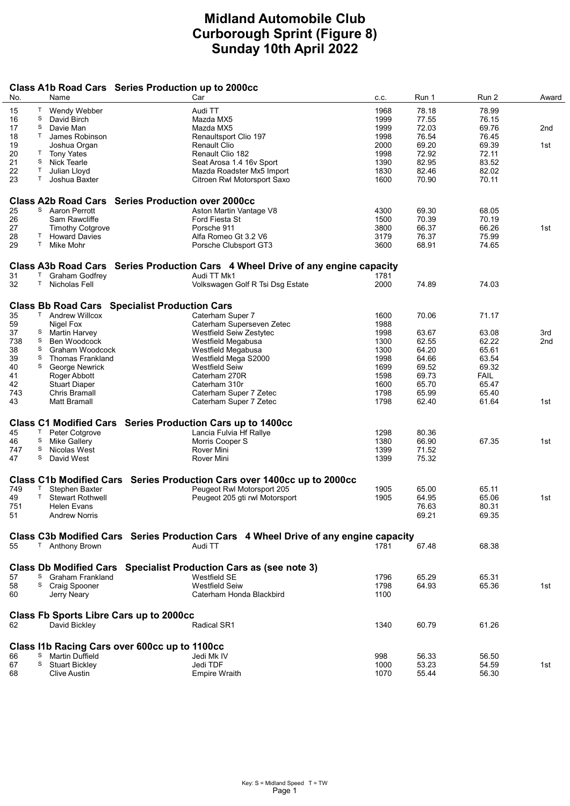## Midland Automobile Club Curborough Sprint (Figure 8) Sunday 10th April 2022

## Class A1b Road Cars Series Production up to 2000cc

| No.      | Name                                                              | Car                                                                                 | C.C. | Run 1 | Run 2       | Award           |
|----------|-------------------------------------------------------------------|-------------------------------------------------------------------------------------|------|-------|-------------|-----------------|
| Τ<br>15  | Wendy Webber                                                      | Audi TT                                                                             | 1968 | 78.18 | 78.99       |                 |
| S<br>16  | David Birch                                                       | Mazda MX5                                                                           | 1999 | 77.55 | 76.15       |                 |
| S<br>17  | Davie Man                                                         | Mazda MX5                                                                           | 1999 | 72.03 | 69.76       | 2 <sub>nd</sub> |
| T        |                                                                   |                                                                                     |      |       |             |                 |
| 18       | James Robinson                                                    | Renaultsport Clio 197                                                               | 1998 | 76.54 | 76.45       |                 |
| 19       | Joshua Organ                                                      | <b>Renault Clio</b>                                                                 | 2000 | 69.20 | 69.39       | 1st             |
| 20<br>T. | <b>Tony Yates</b>                                                 | Renault Clio 182                                                                    | 1998 | 72.92 | 72.11       |                 |
| 21<br>S  | <b>Nick Tearle</b>                                                | Seat Arosa 1.4 16v Sport                                                            | 1390 | 82.95 | 83.52       |                 |
| T<br>22  | Julian Lloyd                                                      | Mazda Roadster Mx5 Import                                                           | 1830 | 82.46 | 82.02       |                 |
| 23<br>Τ  | Joshua Baxter                                                     | Citroen Rwl Motorsport Saxo                                                         | 1600 | 70.90 | 70.11       |                 |
|          | <b>Series Production over 2000cc</b>                              |                                                                                     |      |       |             |                 |
|          | <b>Class A2b Road Cars</b>                                        |                                                                                     |      |       |             |                 |
| 25       | <sup>S</sup> Aaron Perrott                                        | Aston Martin Vantage V8                                                             | 4300 | 69.30 | 68.05       |                 |
| 26       | Sam Rawcliffe                                                     | Ford Fiesta St                                                                      | 1500 | 70.39 | 70.19       |                 |
| 27       | <b>Timothy Cotgrove</b>                                           | Porsche 911                                                                         | 3800 | 66.37 | 66.26       | 1st             |
| 28<br>Τ  | <b>Howard Davies</b>                                              | Alfa Romeo Gt 3.2 V6                                                                | 3179 | 76.37 | 75.99       |                 |
| T.<br>29 | Mike Mohr                                                         | Porsche Clubsport GT3                                                               | 3600 | 68.91 | 74.65       |                 |
|          | <b>Class A3b Road Cars</b>                                        | Series Production Cars 4 Wheel Drive of any engine capacity                         |      |       |             |                 |
| T.<br>31 | Graham Godfrey                                                    | Audi TT Mk1                                                                         | 1781 |       |             |                 |
| 32<br>T. | Nicholas Fell                                                     | Volkswagen Golf R Tsi Dsg Estate                                                    | 2000 | 74.89 | 74.03       |                 |
|          |                                                                   |                                                                                     |      |       |             |                 |
|          | <b>Class Bb Road Cars Specialist Production Cars</b>              |                                                                                     |      |       |             |                 |
| 35       | T Andrew Willcox                                                  | Caterham Super 7                                                                    | 1600 | 70.06 | 71.17       |                 |
| 59       | Nigel Fox                                                         | Caterham Superseven Zetec                                                           | 1988 |       |             |                 |
| 37<br>S  | <b>Martin Harvey</b>                                              | Westfield Seiw Zestytec                                                             | 1998 | 63.67 | 63.08       | 3rd             |
| 738<br>S | Ben Woodcock                                                      | Westfield Megabusa                                                                  | 1300 | 62.55 | 62.22       | 2nd             |
| 38<br>S  |                                                                   | <b>Westfield Megabusa</b>                                                           | 1300 | 64.20 | 65.61       |                 |
|          | Graham Woodcock                                                   |                                                                                     |      |       |             |                 |
| 39<br>S  | <b>Thomas Frankland</b>                                           | Westfield Mega S2000                                                                | 1998 | 64.66 | 63.54       |                 |
| 40<br>S  | George Newrick                                                    | <b>Westfield Seiw</b>                                                               | 1699 | 69.52 | 69.32       |                 |
| 41       | Roger Abbott                                                      | Caterham 270R                                                                       | 1598 | 69.73 | <b>FAIL</b> |                 |
| 42       | <b>Stuart Diaper</b>                                              | Caterham 310r                                                                       | 1600 | 65.70 | 65.47       |                 |
| 743      | Chris Bramall                                                     | Caterham Super 7 Zetec                                                              | 1798 | 65.99 | 65.40       |                 |
| 43       | Matt Bramall                                                      | Caterham Super 7 Zetec                                                              | 1798 | 62.40 | 61.64       | 1st             |
|          |                                                                   |                                                                                     |      |       |             |                 |
|          | Class C1 Modified Cars Series Production Cars up to 1400cc        |                                                                                     |      |       |             |                 |
| 45       | T Peter Cotgrove                                                  | Lancia Fulvia Hf Rallye                                                             | 1298 | 80.36 |             |                 |
| 46<br>S  | Mike Gallery                                                      | Morris Cooper S                                                                     | 1380 | 66.90 | 67.35       | 1st             |
| 747<br>S | Nicolas West                                                      | Rover Mini                                                                          | 1399 | 71.52 |             |                 |
| S<br>47  | David West                                                        | Rover Mini                                                                          | 1399 | 75.32 |             |                 |
|          |                                                                   | Class C1b Modified Cars Series Production Cars over 1400cc up to 2000cc             |      |       |             |                 |
| 749<br>Т | Stephen Baxter                                                    | Peugeot Rwl Motorsport 205                                                          | 1905 | 65.00 | 65.11       |                 |
|          |                                                                   |                                                                                     |      |       |             |                 |
| 49<br>T. | <b>Stewart Rothwell</b>                                           | Peugeot 205 gti rwl Motorsport                                                      | 1905 | 64.95 | 65.06       | 1st             |
| 751      | Helen Evans                                                       |                                                                                     |      | 76.63 | 80.31       |                 |
| 51       | <b>Andrew Norris</b>                                              |                                                                                     |      | 69.21 | 69.35       |                 |
|          |                                                                   | Class C3b Modified Cars Series Production Cars 4 Wheel Drive of any engine capacity |      |       |             |                 |
| 55       | <sup>T</sup> Anthony Brown                                        | Audi TT                                                                             | 1781 | 67.48 | 68.38       |                 |
|          |                                                                   |                                                                                     |      |       |             |                 |
|          | Class Db Modified Cars Specialist Production Cars as (see note 3) |                                                                                     |      |       |             |                 |
| 57       | <sup>S</sup> Graham Frankland                                     | Westfield SE                                                                        | 1796 | 65.29 | 65.31       |                 |
| 58       | <sup>S</sup> Craig Spooner                                        | <b>Westfield Seiw</b>                                                               | 1798 | 64.93 | 65.36       | 1st             |
| 60       | Jerry Neary                                                       | Caterham Honda Blackbird                                                            | 1100 |       |             |                 |
|          |                                                                   |                                                                                     |      |       |             |                 |
| 62       | <b>Class Fb Sports Libre Cars up to 2000cc</b><br>David Bickley   | Radical SR1                                                                         | 1340 | 60.79 | 61.26       |                 |
|          |                                                                   |                                                                                     |      |       |             |                 |
|          | Class I1b Racing Cars over 600cc up to 1100cc                     |                                                                                     |      |       |             |                 |
| 66       | <sup>S</sup> Martin Duffield                                      | Jedi Mk IV                                                                          | 998  | 56.33 | 56.50       |                 |
| 67<br>S  | <b>Stuart Bickley</b>                                             | Jedi TDF                                                                            | 1000 | 53.23 | 54.59       | 1st             |
| 68       | <b>Clive Austin</b>                                               | <b>Empire Wraith</b>                                                                | 1070 | 55.44 | 56.30       |                 |
|          |                                                                   |                                                                                     |      |       |             |                 |